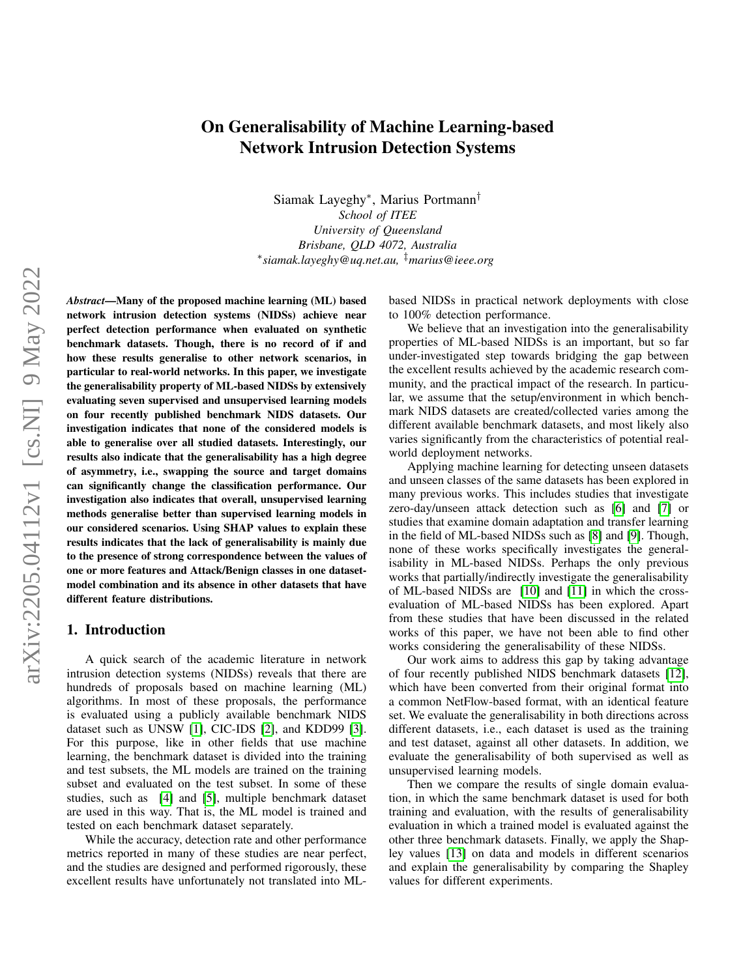# On Generalisability of Machine Learning-based Network Intrusion Detection Systems

Siamak Layeghy<sup>∗</sup> , Marius Portmann† *School of ITEE University of Queensland Brisbane, QLD 4072, Australia* ∗ *siamak.layeghy@uq.net.au,* ‡*marius@ieee.org*

*Abstract*—Many of the proposed machine learning (ML) based network intrusion detection systems (NIDSs) achieve near perfect detection performance when evaluated on synthetic benchmark datasets. Though, there is no record of if and how these results generalise to other network scenarios, in particular to real-world networks. In this paper, we investigate the generalisability property of ML-based NIDSs by extensively evaluating seven supervised and unsupervised learning models on four recently published benchmark NIDS datasets. Our investigation indicates that none of the considered models is able to generalise over all studied datasets. Interestingly, our results also indicate that the generalisability has a high degree of asymmetry, i.e., swapping the source and target domains can significantly change the classification performance. Our investigation also indicates that overall, unsupervised learning methods generalise better than supervised learning models in our considered scenarios. Using SHAP values to explain these results indicates that the lack of generalisability is mainly due to the presence of strong correspondence between the values of one or more features and Attack/Benign classes in one datasetmodel combination and its absence in other datasets that have different feature distributions.

## 1. Introduction

A quick search of the academic literature in network intrusion detection systems (NIDSs) reveals that there are hundreds of proposals based on machine learning (ML) algorithms. In most of these proposals, the performance is evaluated using a publicly available benchmark NIDS dataset such as UNSW [\[1\]](#page-10-0), CIC-IDS [\[2\]](#page-10-1), and KDD99 [\[3\]](#page-10-2). For this purpose, like in other fields that use machine learning, the benchmark dataset is divided into the training and test subsets, the ML models are trained on the training subset and evaluated on the test subset. In some of these studies, such as [\[4\]](#page-10-3) and [\[5\]](#page-10-4), multiple benchmark dataset are used in this way. That is, the ML model is trained and tested on each benchmark dataset separately.

While the accuracy, detection rate and other performance metrics reported in many of these studies are near perfect, and the studies are designed and performed rigorously, these excellent results have unfortunately not translated into ML-

based NIDSs in practical network deployments with close to 100% detection performance.

We believe that an investigation into the generalisability properties of ML-based NIDSs is an important, but so far under-investigated step towards bridging the gap between the excellent results achieved by the academic research community, and the practical impact of the research. In particular, we assume that the setup/environment in which benchmark NIDS datasets are created/collected varies among the different available benchmark datasets, and most likely also varies significantly from the characteristics of potential realworld deployment networks.

Applying machine learning for detecting unseen datasets and unseen classes of the same datasets has been explored in many previous works. This includes studies that investigate zero-day/unseen attack detection such as [\[6\]](#page-10-5) and [\[7\]](#page-10-6) or studies that examine domain adaptation and transfer learning in the field of ML-based NIDSs such as [\[8\]](#page-10-7) and [\[9\]](#page-10-8). Though, none of these works specifically investigates the generalisability in ML-based NIDSs. Perhaps the only previous works that partially/indirectly investigate the generalisability of ML-based NIDSs are [\[10\]](#page-10-9) and [\[11\]](#page-10-10) in which the crossevaluation of ML-based NIDSs has been explored. Apart from these studies that have been discussed in the related works of this paper, we have not been able to find other works considering the generalisability of these NIDSs.

Our work aims to address this gap by taking advantage of four recently published NIDS benchmark datasets [\[12\]](#page-10-11), which have been converted from their original format into a common NetFlow-based format, with an identical feature set. We evaluate the generalisability in both directions across different datasets, i.e., each dataset is used as the training and test dataset, against all other datasets. In addition, we evaluate the generalisability of both supervised as well as unsupervised learning models.

Then we compare the results of single domain evaluation, in which the same benchmark dataset is used for both training and evaluation, with the results of generalisability evaluation in which a trained model is evaluated against the other three benchmark datasets. Finally, we apply the Shapley values [\[13\]](#page-10-12) on data and models in different scenarios and explain the generalisability by comparing the Shapley values for different experiments.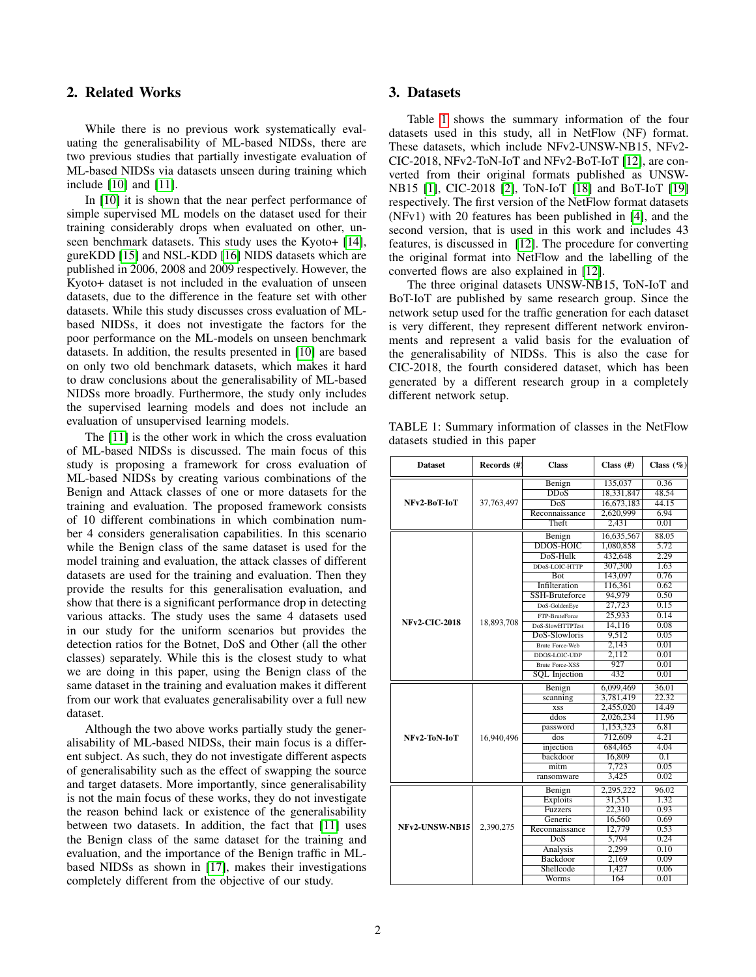## 2. Related Works

While there is no previous work systematically evaluating the generalisability of ML-based NIDSs, there are two previous studies that partially investigate evaluation of ML-based NIDSs via datasets unseen during training which include [\[10\]](#page-10-9) and [\[11\]](#page-10-10).

In [\[10\]](#page-10-9) it is shown that the near perfect performance of simple supervised ML models on the dataset used for their training considerably drops when evaluated on other, unseen benchmark datasets. This study uses the Kyoto+ [\[14\]](#page-10-13), gureKDD [\[15\]](#page-10-14) and NSL-KDD [\[16\]](#page-10-15) NIDS datasets which are published in 2006, 2008 and 2009 respectively. However, the Kyoto+ dataset is not included in the evaluation of unseen datasets, due to the difference in the feature set with other datasets. While this study discusses cross evaluation of MLbased NIDSs, it does not investigate the factors for the poor performance on the ML-models on unseen benchmark datasets. In addition, the results presented in [\[10\]](#page-10-9) are based on only two old benchmark datasets, which makes it hard to draw conclusions about the generalisability of ML-based NIDSs more broadly. Furthermore, the study only includes the supervised learning models and does not include an evaluation of unsupervised learning models.

The [\[11\]](#page-10-10) is the other work in which the cross evaluation of ML-based NIDSs is discussed. The main focus of this study is proposing a framework for cross evaluation of ML-based NIDSs by creating various combinations of the Benign and Attack classes of one or more datasets for the training and evaluation. The proposed framework consists of 10 different combinations in which combination number 4 considers generalisation capabilities. In this scenario while the Benign class of the same dataset is used for the model training and evaluation, the attack classes of different datasets are used for the training and evaluation. Then they provide the results for this generalisation evaluation, and show that there is a significant performance drop in detecting various attacks. The study uses the same 4 datasets used in our study for the uniform scenarios but provides the detection ratios for the Botnet, DoS and Other (all the other classes) separately. While this is the closest study to what we are doing in this paper, using the Benign class of the same dataset in the training and evaluation makes it different from our work that evaluates generalisability over a full new dataset.

Although the two above works partially study the generalisability of ML-based NIDSs, their main focus is a different subject. As such, they do not investigate different aspects of generalisability such as the effect of swapping the source and target datasets. More importantly, since generalisability is not the main focus of these works, they do not investigate the reason behind lack or existence of the generalisability between two datasets. In addition, the fact that [\[11\]](#page-10-10) uses the Benign class of the same dataset for the training and evaluation, and the importance of the Benign traffic in MLbased NIDSs as shown in [\[17\]](#page-10-16), makes their investigations completely different from the objective of our study.

## 3. Datasets

Table [1](#page-1-0) shows the summary information of the four datasets used in this study, all in NetFlow (NF) format. These datasets, which include NFv2-UNSW-NB15, NFv2- CIC-2018, NFv2-ToN-IoT and NFv2-BoT-IoT [\[12\]](#page-10-11), are converted from their original formats published as UNSW-NB15 [\[1\]](#page-10-0), CIC-2018 [\[2\]](#page-10-1), ToN-IoT [\[18\]](#page-11-0) and BoT-IoT [\[19\]](#page-11-1) respectively. The first version of the NetFlow format datasets (NFv1) with 20 features has been published in [\[4\]](#page-10-3), and the second version, that is used in this work and includes 43 features, is discussed in [\[12\]](#page-10-11). The procedure for converting the original format into NetFlow and the labelling of the converted flows are also explained in [\[12\]](#page-10-11).

The three original datasets UNSW-NB15, ToN-IoT and BoT-IoT are published by same research group. Since the network setup used for the traffic generation for each dataset is very different, they represent different network environments and represent a valid basis for the evaluation of the generalisability of NIDSs. This is also the case for CIC-2018, the fourth considered dataset, which has been generated by a different research group in a completely different network setup.

<span id="page-1-0"></span>TABLE 1: Summary information of classes in the NetFlow datasets studied in this paper

| <b>Dataset</b>       | Records (#) | <b>Class</b>            | Class $($ # <sup>2</sup> ) | Class $(\%)$ |
|----------------------|-------------|-------------------------|----------------------------|--------------|
|                      |             | Benign                  | 135,037                    | 0.36         |
|                      |             | <b>DDoS</b>             | 18,331,847                 | 48.54        |
| NFv2-BoT-IoT         | 37,763,497  | DoS                     | 16,673,183                 | 44.15        |
|                      |             | Reconnaissance          | 2,620,999                  | 6.94         |
|                      |             | Theft                   | 2.431                      | 0.01         |
|                      |             | Benign                  | 16,635,567                 | 88.05        |
|                      |             | <b>DDOS-HOIC</b>        | 1.080.858                  | 5.72         |
|                      |             | DoS-Hulk                | 432,648                    | 2.29         |
|                      |             | DDoS-LOIC-HTTP          | 307,300                    | 1.63         |
|                      |             | <b>Bot</b>              | 143,097                    | 0.76         |
|                      |             | Infilteration           | 116,361                    | 0.62         |
|                      |             | SSH-Bruteforce          | 94,979                     | 0.50         |
|                      |             | DoS-GoldenEye           | 27,723                     | 0.15         |
|                      |             | FTP-BruteForce          | 25,933                     | 0.14         |
| <b>NFv2-CIC-2018</b> | 18,893,708  | DoS-SlowHTTPTest        | 14,116                     | 0.08         |
|                      |             | DoS-Slowloris           | 9,512                      | 0.05         |
|                      |             | <b>Brute Force-Web</b>  | 2,143                      | 0.01         |
|                      |             | DDOS-LOIC-UDP           | 2.112                      | 0.01         |
|                      |             | <b>Brute Force-XSS</b>  | 927                        | 0.01         |
|                      |             | <b>SQL</b> Injection    | 432                        | 0.01         |
|                      |             | Benign                  | 6,099,469                  | 36.01        |
|                      |             | scanning                | 3,781,419                  | 22.32        |
|                      |             | <b>XSS</b>              | 2,455,020                  | 14.49        |
|                      |             | ddos                    | 2,026,234                  | 11.96        |
|                      |             | password                | 1,153,323                  | 6.81         |
| NFv2-ToN-IoT         | 16,940,496  | $\overline{\text{dos}}$ | 712,609                    | 4.21         |
|                      |             | injection               | 684,465                    | 4.04         |
|                      |             | backdoor                | 16,809                     | 0.1          |
|                      |             | mitm                    | 7,723                      | 0.05         |
|                      |             | ransomware              | 3.425                      | 0.02         |
|                      |             | Benign                  | 2,295,222                  | 96.02        |
|                      |             | <b>Exploits</b>         | 31.551                     | 1.32         |
|                      |             | <b>Fuzzers</b>          | 22,310                     | 0.93         |
|                      |             | Generic                 | 16,560                     | 0.69         |
| NFv2-UNSW-NB15       | 2,390,275   | Reconnaissance          | 12,779                     | 0.53         |
|                      |             | DoS                     | 5,794                      | 0.24         |
|                      |             | Analysis                | 2,299                      | 0.10         |
|                      |             | Backdoor                | 2,169                      | 0.09         |
|                      |             | Shellcode               | 1,427                      | 0.06         |
|                      |             | Worms                   | 164                        | 0.01         |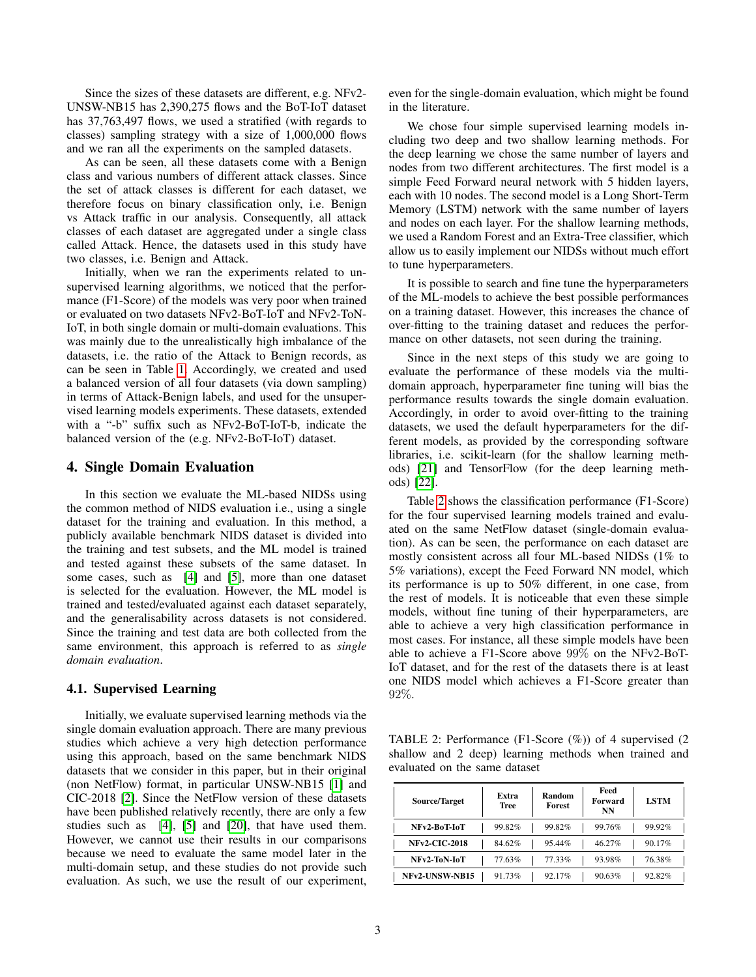Since the sizes of these datasets are different, e.g. NFv2- UNSW-NB15 has 2,390,275 flows and the BoT-IoT dataset has 37,763,497 flows, we used a stratified (with regards to classes) sampling strategy with a size of 1,000,000 flows and we ran all the experiments on the sampled datasets.

As can be seen, all these datasets come with a Benign class and various numbers of different attack classes. Since the set of attack classes is different for each dataset, we therefore focus on binary classification only, i.e. Benign vs Attack traffic in our analysis. Consequently, all attack classes of each dataset are aggregated under a single class called Attack. Hence, the datasets used in this study have two classes, i.e. Benign and Attack.

Initially, when we ran the experiments related to unsupervised learning algorithms, we noticed that the performance (F1-Score) of the models was very poor when trained or evaluated on two datasets NFv2-BoT-IoT and NFv2-ToN-IoT, in both single domain or multi-domain evaluations. This was mainly due to the unrealistically high imbalance of the datasets, i.e. the ratio of the Attack to Benign records, as can be seen in Table [1.](#page-1-0) Accordingly, we created and used a balanced version of all four datasets (via down sampling) in terms of Attack-Benign labels, and used for the unsupervised learning models experiments. These datasets, extended with a "-b" suffix such as NFv2-BoT-IoT-b, indicate the balanced version of the (e.g. NFv2-BoT-IoT) dataset.

## 4. Single Domain Evaluation

In this section we evaluate the ML-based NIDSs using the common method of NIDS evaluation i.e., using a single dataset for the training and evaluation. In this method, a publicly available benchmark NIDS dataset is divided into the training and test subsets, and the ML model is trained and tested against these subsets of the same dataset. In some cases, such as [\[4\]](#page-10-3) and [\[5\]](#page-10-4), more than one dataset is selected for the evaluation. However, the ML model is trained and tested/evaluated against each dataset separately, and the generalisability across datasets is not considered. Since the training and test data are both collected from the same environment, this approach is referred to as *single domain evaluation*.

#### 4.1. Supervised Learning

Initially, we evaluate supervised learning methods via the single domain evaluation approach. There are many previous studies which achieve a very high detection performance using this approach, based on the same benchmark NIDS datasets that we consider in this paper, but in their original (non NetFlow) format, in particular UNSW-NB15 [\[1\]](#page-10-0) and CIC-2018 [\[2\]](#page-10-1). Since the NetFlow version of these datasets have been published relatively recently, there are only a few studies such as [\[4\]](#page-10-3), [\[5\]](#page-10-4) and [\[20\]](#page-11-2), that have used them. However, we cannot use their results in our comparisons because we need to evaluate the same model later in the multi-domain setup, and these studies do not provide such evaluation. As such, we use the result of our experiment, even for the single-domain evaluation, which might be found in the literature.

We chose four simple supervised learning models including two deep and two shallow learning methods. For the deep learning we chose the same number of layers and nodes from two different architectures. The first model is a simple Feed Forward neural network with 5 hidden layers, each with 10 nodes. The second model is a Long Short-Term Memory (LSTM) network with the same number of layers and nodes on each layer. For the shallow learning methods, we used a Random Forest and an Extra-Tree classifier, which allow us to easily implement our NIDSs without much effort to tune hyperparameters.

It is possible to search and fine tune the hyperparameters of the ML-models to achieve the best possible performances on a training dataset. However, this increases the chance of over-fitting to the training dataset and reduces the performance on other datasets, not seen during the training.

Since in the next steps of this study we are going to evaluate the performance of these models via the multidomain approach, hyperparameter fine tuning will bias the performance results towards the single domain evaluation. Accordingly, in order to avoid over-fitting to the training datasets, we used the default hyperparameters for the different models, as provided by the corresponding software libraries, i.e. scikit-learn (for the shallow learning methods) [\[21\]](#page-11-3) and TensorFlow (for the deep learning methods) [\[22\]](#page-11-4).

Table [2](#page-2-0) shows the classification performance (F1-Score) for the four supervised learning models trained and evaluated on the same NetFlow dataset (single-domain evaluation). As can be seen, the performance on each dataset are mostly consistent across all four ML-based NIDSs (1% to 5% variations), except the Feed Forward NN model, which its performance is up to 50% different, in one case, from the rest of models. It is noticeable that even these simple models, without fine tuning of their hyperparameters, are able to achieve a very high classification performance in most cases. For instance, all these simple models have been able to achieve a F1-Score above 99% on the NFv2-BoT-IoT dataset, and for the rest of the datasets there is at least one NIDS model which achieves a F1-Score greater than 92%.

<span id="page-2-0"></span>TABLE 2: Performance (F1-Score (%)) of 4 supervised (2 shallow and 2 deep) learning methods when trained and evaluated on the same dataset

| <b>Source/Target</b> | Extra<br>Tree | Random<br><b>Forest</b> | Feed<br>Forward<br>NN | <b>LSTM</b> |
|----------------------|---------------|-------------------------|-----------------------|-------------|
| NFv2-BoT-IoT         | 99.82%        | 99.82%                  | 99.76%                | 99.92%      |
| <b>NFv2-CIC-2018</b> | 84.62%        | 95.44%                  | 46.27%                | 90.17%      |
| NFv2-ToN-IoT         | 77.63%        | 77.33%                  | 93.98%                | 76.38%      |
| NFv2-UNSW-NB15       | 91.73%        | 92.17%                  | 90.63%                | 92.82%      |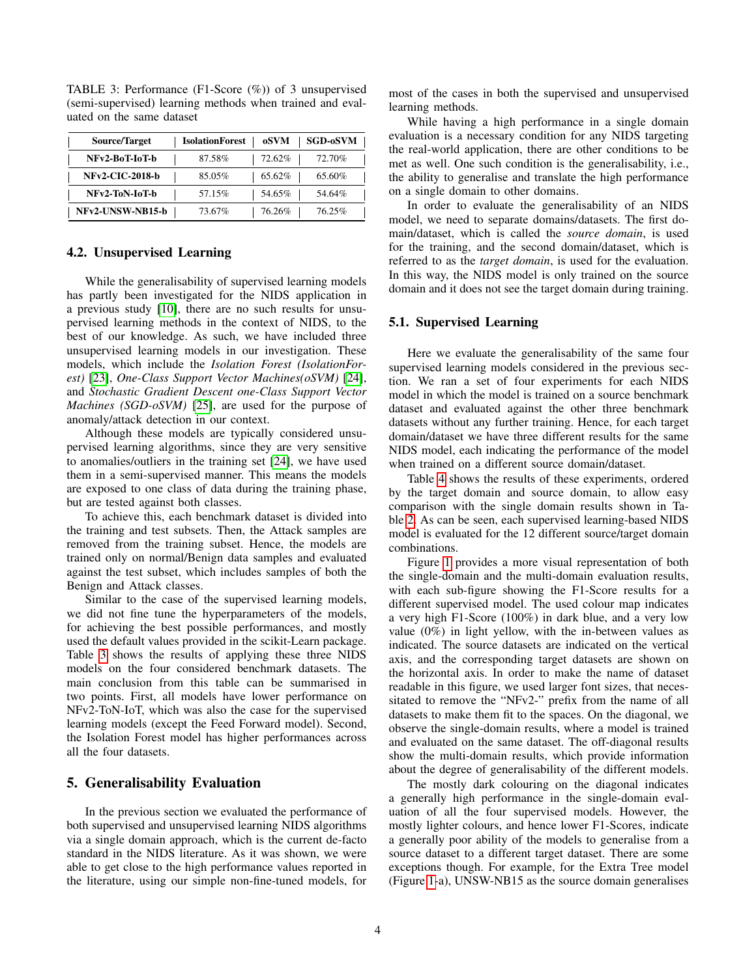| Source/Target          | <b>IsolationForest</b> | oSVM   | <b>SGD-oSVM</b> |
|------------------------|------------------------|--------|-----------------|
| NFv2-BoT-IoT-b         | 87.58%                 | 72.62% | 72.70%          |
| <b>NFv2-CIC-2018-b</b> | 85.05%                 | 65.62% | 65.60%          |
| NFv2-ToN-IoT-b         | 57.15%                 | 54.65% | 54.64%          |
| NFv2-UNSW-NB15-b       | 73.67%                 | 76.26% | 76.25%          |

<span id="page-3-0"></span>TABLE 3: Performance (F1-Score (%)) of 3 unsupervised (semi-supervised) learning methods when trained and evaluated on the same dataset

#### 4.2. Unsupervised Learning

While the generalisability of supervised learning models has partly been investigated for the NIDS application in a previous study [\[10\]](#page-10-9), there are no such results for unsupervised learning methods in the context of NIDS, to the best of our knowledge. As such, we have included three unsupervised learning models in our investigation. These models, which include the *Isolation Forest (IsolationForest)* [\[23\]](#page-11-5), *One-Class Support Vector Machines(oSVM)* [\[24\]](#page-11-6), and *Stochastic Gradient Descent one-Class Support Vector Machines (SGD-oSVM)* [\[25\]](#page-11-7), are used for the purpose of anomaly/attack detection in our context.

Although these models are typically considered unsupervised learning algorithms, since they are very sensitive to anomalies/outliers in the training set [\[24\]](#page-11-6), we have used them in a semi-supervised manner. This means the models are exposed to one class of data during the training phase, but are tested against both classes.

To achieve this, each benchmark dataset is divided into the training and test subsets. Then, the Attack samples are removed from the training subset. Hence, the models are trained only on normal/Benign data samples and evaluated against the test subset, which includes samples of both the Benign and Attack classes.

Similar to the case of the supervised learning models, we did not fine tune the hyperparameters of the models, for achieving the best possible performances, and mostly used the default values provided in the scikit-Learn package. Table [3](#page-3-0) shows the results of applying these three NIDS models on the four considered benchmark datasets. The main conclusion from this table can be summarised in two points. First, all models have lower performance on NFv2-ToN-IoT, which was also the case for the supervised learning models (except the Feed Forward model). Second, the Isolation Forest model has higher performances across all the four datasets.

## 5. Generalisability Evaluation

In the previous section we evaluated the performance of both supervised and unsupervised learning NIDS algorithms via a single domain approach, which is the current de-facto standard in the NIDS literature. As it was shown, we were able to get close to the high performance values reported in the literature, using our simple non-fine-tuned models, for most of the cases in both the supervised and unsupervised learning methods.

While having a high performance in a single domain evaluation is a necessary condition for any NIDS targeting the real-world application, there are other conditions to be met as well. One such condition is the generalisability, i.e., the ability to generalise and translate the high performance on a single domain to other domains.

In order to evaluate the generalisability of an NIDS model, we need to separate domains/datasets. The first domain/dataset, which is called the *source domain*, is used for the training, and the second domain/dataset, which is referred to as the *target domain*, is used for the evaluation. In this way, the NIDS model is only trained on the source domain and it does not see the target domain during training.

#### 5.1. Supervised Learning

Here we evaluate the generalisability of the same four supervised learning models considered in the previous section. We ran a set of four experiments for each NIDS model in which the model is trained on a source benchmark dataset and evaluated against the other three benchmark datasets without any further training. Hence, for each target domain/dataset we have three different results for the same NIDS model, each indicating the performance of the model when trained on a different source domain/dataset.

Table [4](#page-4-0) shows the results of these experiments, ordered by the target domain and source domain, to allow easy comparison with the single domain results shown in Table [2.](#page-2-0) As can be seen, each supervised learning-based NIDS model is evaluated for the 12 different source/target domain combinations.

Figure [1](#page-4-1) provides a more visual representation of both the single-domain and the multi-domain evaluation results, with each sub-figure showing the F1-Score results for a different supervised model. The used colour map indicates a very high F1-Score (100%) in dark blue, and a very low value (0%) in light yellow, with the in-between values as indicated. The source datasets are indicated on the vertical axis, and the corresponding target datasets are shown on the horizontal axis. In order to make the name of dataset readable in this figure, we used larger font sizes, that necessitated to remove the "NFv2-" prefix from the name of all datasets to make them fit to the spaces. On the diagonal, we observe the single-domain results, where a model is trained and evaluated on the same dataset. The off-diagonal results show the multi-domain results, which provide information about the degree of generalisability of the different models.

The mostly dark colouring on the diagonal indicates a generally high performance in the single-domain evaluation of all the four supervised models. However, the mostly lighter colours, and hence lower F1-Scores, indicate a generally poor ability of the models to generalise from a source dataset to a different target dataset. There are some exceptions though. For example, for the Extra Tree model (Figure [1-](#page-4-1)a), UNSW-NB15 as the source domain generalises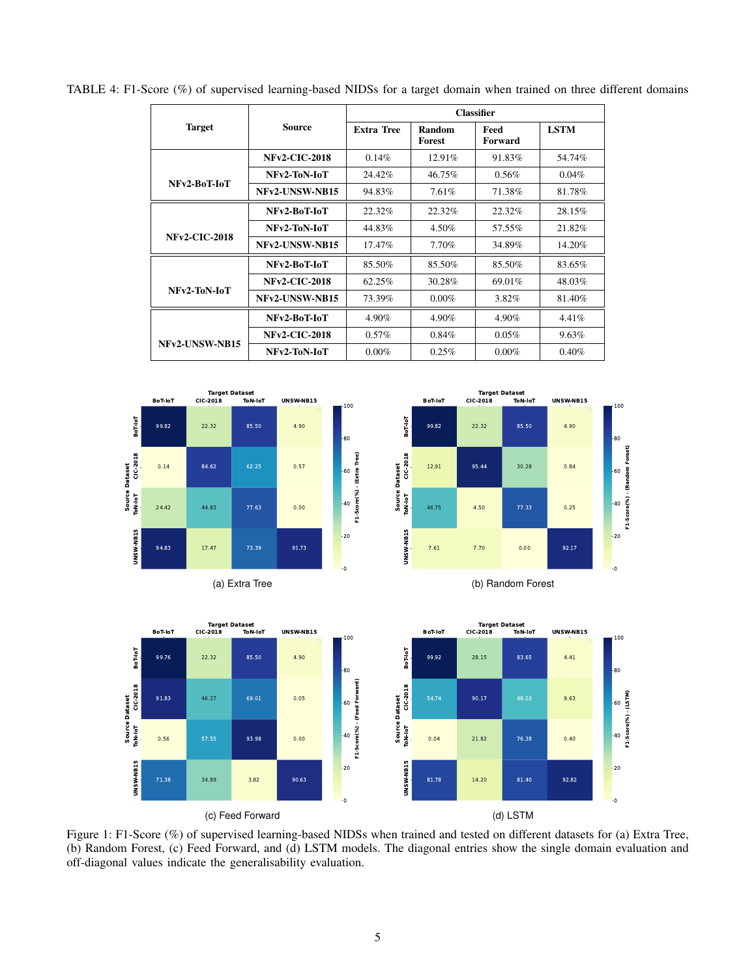|                      |                      | <b>Classifier</b> |                  |                 |             |
|----------------------|----------------------|-------------------|------------------|-----------------|-------------|
| <b>Target</b>        | <b>Source</b>        | <b>Extra Tree</b> | Random<br>Forest | Feed<br>Forward | <b>LSTM</b> |
|                      | <b>NFv2-CIC-2018</b> | $0.14\%$          | 12.91%           | 91.83%          | 54.74%      |
| NFv2-BoT-IoT         | NFv2-ToN-IoT         | 24.42%            | 46.75%           | $0.56\%$        | $0.04\%$    |
|                      | NFv2-UNSW-NB15       | 94.83%            | 7.61%            | 71.38%          | 81.78%      |
|                      | NFv2-BoT-IoT         | 22.32%            | 22.32%           | 22.32%          | 28.15%      |
| <b>NFv2-CIC-2018</b> | NFv2-ToN-IoT         | 44.83%            | 4.50%            | 57.55%          | 21.82%      |
|                      | NFv2-UNSW-NB15       | 17.47%            | 7.70%            | 34.89%          | 14.20%      |

NFv2-BoT-IoT 85.50% 85.50% 85.50% 83.65% NFv2-CIC-2018 62.25% 30.28% 69.01% 48.03% NFv2-UNSW-NB15 73.39% 0.00% 3.82% 81.40%

**NFv2-BoT-IoT** | 4.90% | 4.90% | 4.90% | 4.41% NFv2-CIC-2018 0.57% 0.84% 0.05% 9.63% NFv2-ToN-IoT 0.00% 0.25% 0.00% 0.40%

<span id="page-4-0"></span>TABLE 4: F1-Score (%) of supervised learning-based NIDSs for a target domain when trained on three different domains

<span id="page-4-1"></span>



NFv2-ToN-IoT

NFv2-UNSW-NB15





Figure 1: F1-Score (%) of supervised learning-based NIDSs when trained and tested on different datasets for (a) Extra Tree, (b) Random Forest, (c) Feed Forward, and (d) LSTM models. The diagonal entries show the single domain evaluation and off-diagonal values indicate the generalisability evaluation.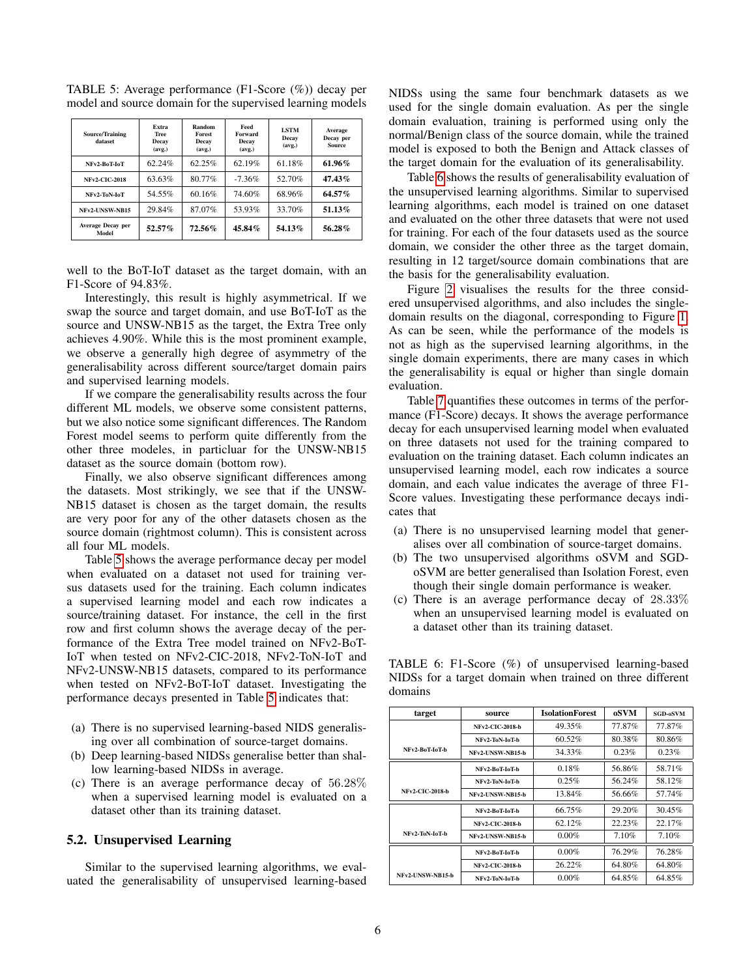| <b>Source/Training</b><br>dataset | Extra<br><b>Tree</b><br>Decay<br>(avg.) | Random<br><b>Forest</b><br>Decay<br>(avg.) | Feed<br>Forward<br>Decay<br>(avg.) | <b>LSTM</b><br>Decay<br>(avg.) | Average<br>Decay per<br><b>Source</b> |
|-----------------------------------|-----------------------------------------|--------------------------------------------|------------------------------------|--------------------------------|---------------------------------------|
| NFv2-BoT-IoT                      | 62.24%                                  | 62.25%                                     | 62.19%                             | 61.18%                         | $61.96\%$                             |
| <b>NFv2-CIC-2018</b>              | 63.63%                                  | 80.77%                                     | $-7.36%$                           | 52.70%                         | 47.43%                                |
| NFv2-ToN-IoT                      | 54.55%                                  | 60.16%                                     | 74.60%                             | 68.96%                         | 64.57%                                |
| NFv2-UNSW-NB15                    | 29.84%                                  | 87.07%                                     | 53.93%                             | 33.70%                         | 51.13%                                |
| <b>Average Decay per</b><br>Model | $52.57\%$                               | $72.56\%$                                  | 45.84%                             | 54.13%                         | 56.28%                                |

<span id="page-5-0"></span>TABLE 5: Average performance (F1-Score (%)) decay per model and source domain for the supervised learning models

well to the BoT-IoT dataset as the target domain, with an F1-Score of 94.83%.

Interestingly, this result is highly asymmetrical. If we swap the source and target domain, and use BoT-IoT as the source and UNSW-NB15 as the target, the Extra Tree only achieves 4.90%. While this is the most prominent example, we observe a generally high degree of asymmetry of the generalisability across different source/target domain pairs and supervised learning models.

If we compare the generalisability results across the four different ML models, we observe some consistent patterns, but we also notice some significant differences. The Random Forest model seems to perform quite differently from the other three modeles, in particluar for the UNSW-NB15 dataset as the source domain (bottom row).

Finally, we also observe significant differences among the datasets. Most strikingly, we see that if the UNSW-NB15 dataset is chosen as the target domain, the results are very poor for any of the other datasets chosen as the source domain (rightmost column). This is consistent across all four ML models.

Table [5](#page-5-0) shows the average performance decay per model when evaluated on a dataset not used for training versus datasets used for the training. Each column indicates a supervised learning model and each row indicates a source/training dataset. For instance, the cell in the first row and first column shows the average decay of the performance of the Extra Tree model trained on NFv2-BoT-IoT when tested on NFv2-CIC-2018, NFv2-ToN-IoT and NFv2-UNSW-NB15 datasets, compared to its performance when tested on NFv2-BoT-IoT dataset. Investigating the performance decays presented in Table [5](#page-5-0) indicates that:

- (a) There is no supervised learning-based NIDS generalising over all combination of source-target domains.
- (b) Deep learning-based NIDSs generalise better than shallow learning-based NIDSs in average.
- (c) There is an average performance decay of 56.28% when a supervised learning model is evaluated on a dataset other than its training dataset.

## 5.2. Unsupervised Learning

Similar to the supervised learning algorithms, we evaluated the generalisability of unsupervised learning-based NIDSs using the same four benchmark datasets as we used for the single domain evaluation. As per the single domain evaluation, training is performed using only the normal/Benign class of the source domain, while the trained model is exposed to both the Benign and Attack classes of the target domain for the evaluation of its generalisability.

Table [6](#page-5-1) shows the results of generalisability evaluation of the unsupervised learning algorithms. Similar to supervised learning algorithms, each model is trained on one dataset and evaluated on the other three datasets that were not used for training. For each of the four datasets used as the source domain, we consider the other three as the target domain, resulting in 12 target/source domain combinations that are the basis for the generalisability evaluation.

Figure [2](#page-6-0) visualises the results for the three considered unsupervised algorithms, and also includes the singledomain results on the diagonal, corresponding to Figure [1.](#page-4-1) As can be seen, while the performance of the models is not as high as the supervised learning algorithms, in the single domain experiments, there are many cases in which the generalisability is equal or higher than single domain evaluation.

Table [7](#page-6-1) quantifies these outcomes in terms of the performance (F1-Score) decays. It shows the average performance decay for each unsupervised learning model when evaluated on three datasets not used for the training compared to evaluation on the training dataset. Each column indicates an unsupervised learning model, each row indicates a source domain, and each value indicates the average of three F1- Score values. Investigating these performance decays indicates that

- (a) There is no unsupervised learning model that generalises over all combination of source-target domains.
- (b) The two unsupervised algorithms oSVM and SGDoSVM are better generalised than Isolation Forest, even though their single domain performance is weaker.
- (c) There is an average performance decay of 28.33% when an unsupervised learning model is evaluated on a dataset other than its training dataset.

| target           | source                  | <b>IsolationForest</b> | oSVM   | <b>SGD-oSVM</b> |
|------------------|-------------------------|------------------------|--------|-----------------|
|                  | <b>NFv2-CIC-2018-b</b>  | 49.35%                 | 77.87% | 77.87%          |
|                  | NFv2-ToN-IoT-b          | 60.52%                 | 80.38% | 80.86%          |
| NFv2-BoT-IoT-b   | NFv2-UNSW-NB15-b        | 34.33%                 | 0.23%  | 0.23%           |
|                  | NFv2-BoT-IoT-b          | 0.18%                  | 56.86% | 58.71%          |
|                  | NFv2-ToN-IoT-b          | 0.25%                  | 56.24% | 58.12%          |
| NFv2-CIC-2018-b  | <b>NFv2-UNSW-NB15-b</b> | 13.84%                 | 56.66% | 57.74%          |
|                  | NFv2-BoT-IoT-b          | 66.75%                 | 29.20% | 30.45%          |
|                  | <b>NFv2-CIC-2018-b</b>  | 62.12%                 | 22.23% | 22.17%          |
| NFv2-ToN-IoT-b   | <b>NFv2-UNSW-NB15-b</b> | $0.00\%$               | 7.10%  | 7.10%           |
|                  | NFv2-BoT-IoT-b          | $0.00\%$               | 76.29% | 76.28%          |
|                  | <b>NFv2-CIC-2018-b</b>  | 26.22%                 | 64.80% | 64.80%          |
| NFv2-UNSW-NB15-b | NFv2-ToN-IoT-b          | $0.00\%$               | 64.85% | 64.85%          |

<span id="page-5-1"></span>TABLE 6: F1-Score (%) of unsupervised learning-based NIDSs for a target domain when trained on three different domains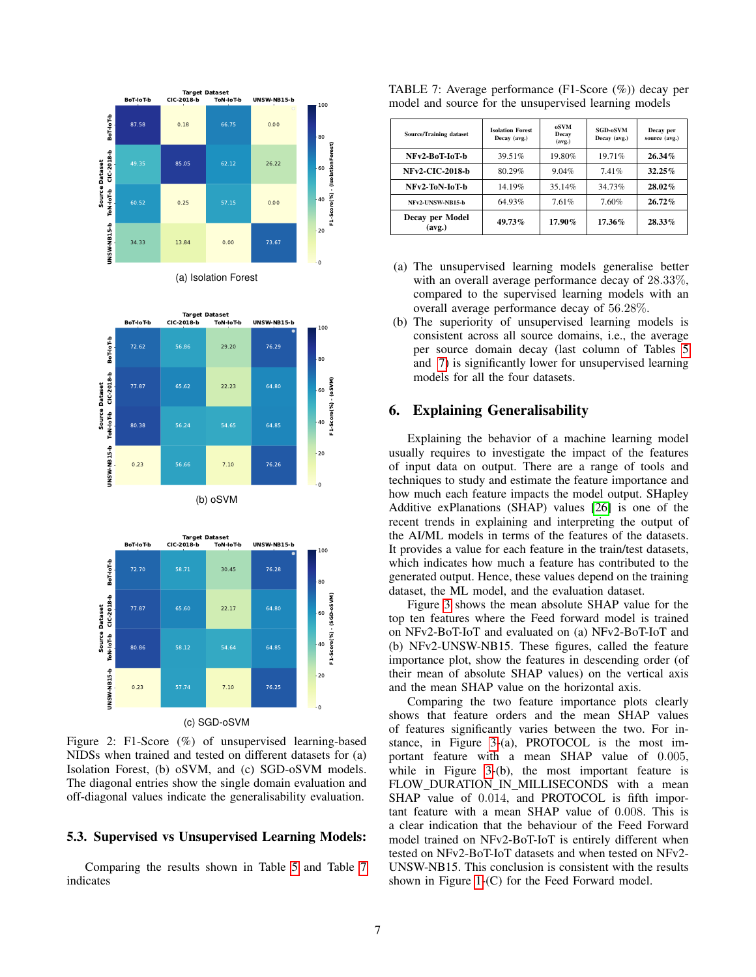<span id="page-6-0"></span>

(a) Isolation Forest





Figure 2: F1-Score (%) of unsupervised learning-based NIDSs when trained and tested on different datasets for (a) Isolation Forest, (b) oSVM, and (c) SGD-oSVM models. The diagonal entries show the single domain evaluation and off-diagonal values indicate the generalisability evaluation.

## 5.3. Supervised vs Unsupervised Learning Models:

Comparing the results shown in Table [5](#page-5-0) and Table [7](#page-6-1) indicates

| <b>Source/Training dataset</b> | <b>Isolation Forest</b><br>Decay (avg.) | <b>oSVM</b><br>Decay<br>(avg.) | <b>SGD-oSVM</b><br>Decay (avg.) | Decay per<br>source (avg.) |
|--------------------------------|-----------------------------------------|--------------------------------|---------------------------------|----------------------------|
| NFv2-BoT-IoT-b                 | 39.51%                                  | 19.80%                         | 19.71%                          | $26.34\%$                  |
| <b>NFv2-CIC-2018-b</b>         | 80.29%                                  | 9.04%                          | 7.41%                           | $32.25\%$                  |
| NFv2-ToN-IoT-b                 | 14.19%                                  | 35.14%                         | 34.73%                          | $28.02\%$                  |
| NFv2-UNSW-NB15-b               | 64.93%                                  | 7.61%                          | 7.60%                           | $26.72\%$                  |
| Decay per Model<br>(avg.)      | 49.73%                                  | $17.90\%$                      | $17.36\%$                       | $28.33\%$                  |

<span id="page-6-1"></span>TABLE 7: Average performance (F1-Score (%)) decay per model and source for the unsupervised learning models

- (a) The unsupervised learning models generalise better with an overall average performance decay of 28.33%, compared to the supervised learning models with an overall average performance decay of 56.28%.
- (b) The superiority of unsupervised learning models is consistent across all source domains, i.e., the average per source domain decay (last column of Tables [5](#page-5-0) and [7\)](#page-6-1) is significantly lower for unsupervised learning models for all the four datasets.

## 6. Explaining Generalisability

Explaining the behavior of a machine learning model usually requires to investigate the impact of the features of input data on output. There are a range of tools and techniques to study and estimate the feature importance and how much each feature impacts the model output. SHapley Additive exPlanations (SHAP) values [\[26\]](#page-11-8) is one of the recent trends in explaining and interpreting the output of the AI/ML models in terms of the features of the datasets. It provides a value for each feature in the train/test datasets, which indicates how much a feature has contributed to the generated output. Hence, these values depend on the training dataset, the ML model, and the evaluation dataset.

Figure [3](#page-7-0) shows the mean absolute SHAP value for the top ten features where the Feed forward model is trained on NFv2-BoT-IoT and evaluated on (a) NFv2-BoT-IoT and (b) NFv2-UNSW-NB15. These figures, called the feature importance plot, show the features in descending order (of their mean of absolute SHAP values) on the vertical axis and the mean SHAP value on the horizontal axis.

Comparing the two feature importance plots clearly shows that feature orders and the mean SHAP values of features significantly varies between the two. For instance, in Figure [3-](#page-7-0)(a), PROTOCOL is the most important feature with a mean SHAP value of 0.005, while in Figure [3-](#page-7-0)(b), the most important feature is FLOW DURATION IN MILLISECONDS with a mean SHAP value of 0.014, and PROTOCOL is fifth important feature with a mean SHAP value of 0.008. This is a clear indication that the behaviour of the Feed Forward model trained on NFv2-BoT-IoT is entirely different when tested on NFv2-BoT-IoT datasets and when tested on NFv2- UNSW-NB15. This conclusion is consistent with the results shown in Figure [1-](#page-4-1)(C) for the Feed Forward model.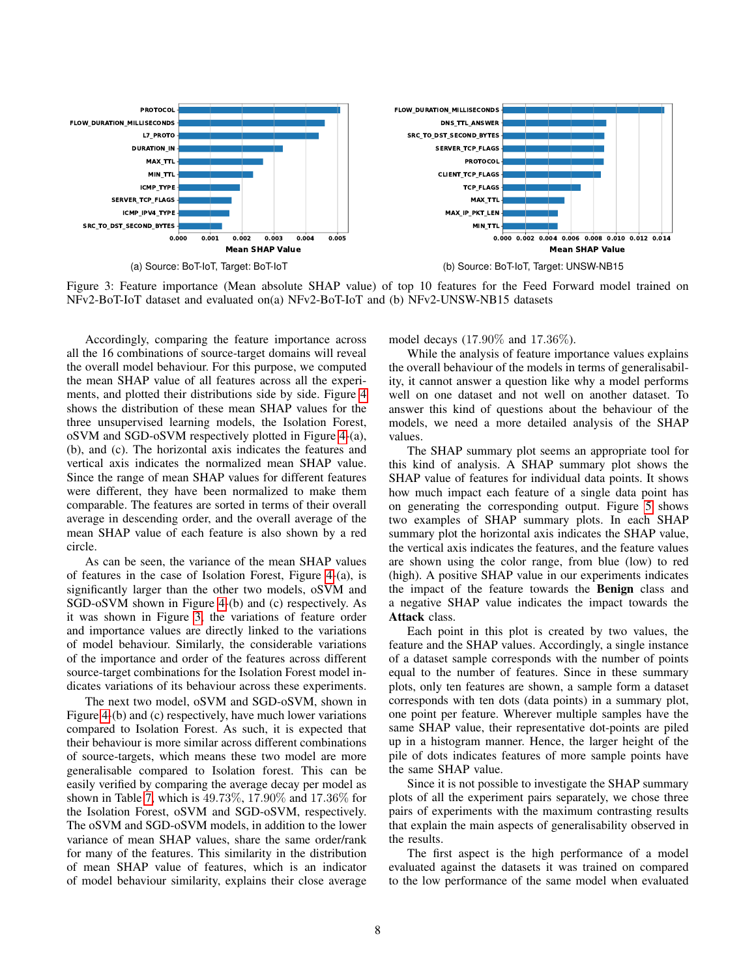<span id="page-7-0"></span>

Figure 3: Feature importance (Mean absolute SHAP value) of top 10 features for the Feed Forward model trained on NFv2-BoT-IoT dataset and evaluated on(a) NFv2-BoT-IoT and (b) NFv2-UNSW-NB15 datasets

Accordingly, comparing the feature importance across all the 16 combinations of source-target domains will reveal the overall model behaviour. For this purpose, we computed the mean SHAP value of all features across all the experiments, and plotted their distributions side by side. Figure [4](#page-8-0) shows the distribution of these mean SHAP values for the three unsupervised learning models, the Isolation Forest, oSVM and SGD-oSVM respectively plotted in Figure [4-](#page-8-0)(a), (b), and (c). The horizontal axis indicates the features and vertical axis indicates the normalized mean SHAP value. Since the range of mean SHAP values for different features were different, they have been normalized to make them comparable. The features are sorted in terms of their overall average in descending order, and the overall average of the mean SHAP value of each feature is also shown by a red circle.

As can be seen, the variance of the mean SHAP values of features in the case of Isolation Forest, Figure [4-](#page-8-0)(a), is significantly larger than the other two models, oSVM and SGD-oSVM shown in Figure [4-](#page-8-0)(b) and (c) respectively. As it was shown in Figure [3,](#page-7-0) the variations of feature order and importance values are directly linked to the variations of model behaviour. Similarly, the considerable variations of the importance and order of the features across different source-target combinations for the Isolation Forest model indicates variations of its behaviour across these experiments.

The next two model, oSVM and SGD-oSVM, shown in Figure [4-](#page-8-0)(b) and (c) respectively, have much lower variations compared to Isolation Forest. As such, it is expected that their behaviour is more similar across different combinations of source-targets, which means these two model are more generalisable compared to Isolation forest. This can be easily verified by comparing the average decay per model as shown in Table [7,](#page-6-1) which is 49.73%, 17.90% and 17.36% for the Isolation Forest, oSVM and SGD-oSVM, respectively. The oSVM and SGD-oSVM models, in addition to the lower variance of mean SHAP values, share the same order/rank for many of the features. This similarity in the distribution of mean SHAP value of features, which is an indicator of model behaviour similarity, explains their close average model decays (17.90% and 17.36%).

While the analysis of feature importance values explains the overall behaviour of the models in terms of generalisability, it cannot answer a question like why a model performs well on one dataset and not well on another dataset. To answer this kind of questions about the behaviour of the models, we need a more detailed analysis of the SHAP values.

The SHAP summary plot seems an appropriate tool for this kind of analysis. A SHAP summary plot shows the SHAP value of features for individual data points. It shows how much impact each feature of a single data point has on generating the corresponding output. Figure [5](#page-9-0) shows two examples of SHAP summary plots. In each SHAP summary plot the horizontal axis indicates the SHAP value, the vertical axis indicates the features, and the feature values are shown using the color range, from blue (low) to red (high). A positive SHAP value in our experiments indicates the impact of the feature towards the Benign class and a negative SHAP value indicates the impact towards the Attack class.

Each point in this plot is created by two values, the feature and the SHAP values. Accordingly, a single instance of a dataset sample corresponds with the number of points equal to the number of features. Since in these summary plots, only ten features are shown, a sample form a dataset corresponds with ten dots (data points) in a summary plot, one point per feature. Wherever multiple samples have the same SHAP value, their representative dot-points are piled up in a histogram manner. Hence, the larger height of the pile of dots indicates features of more sample points have the same SHAP value.

Since it is not possible to investigate the SHAP summary plots of all the experiment pairs separately, we chose three pairs of experiments with the maximum contrasting results that explain the main aspects of generalisability observed in the results.

The first aspect is the high performance of a model evaluated against the datasets it was trained on compared to the low performance of the same model when evaluated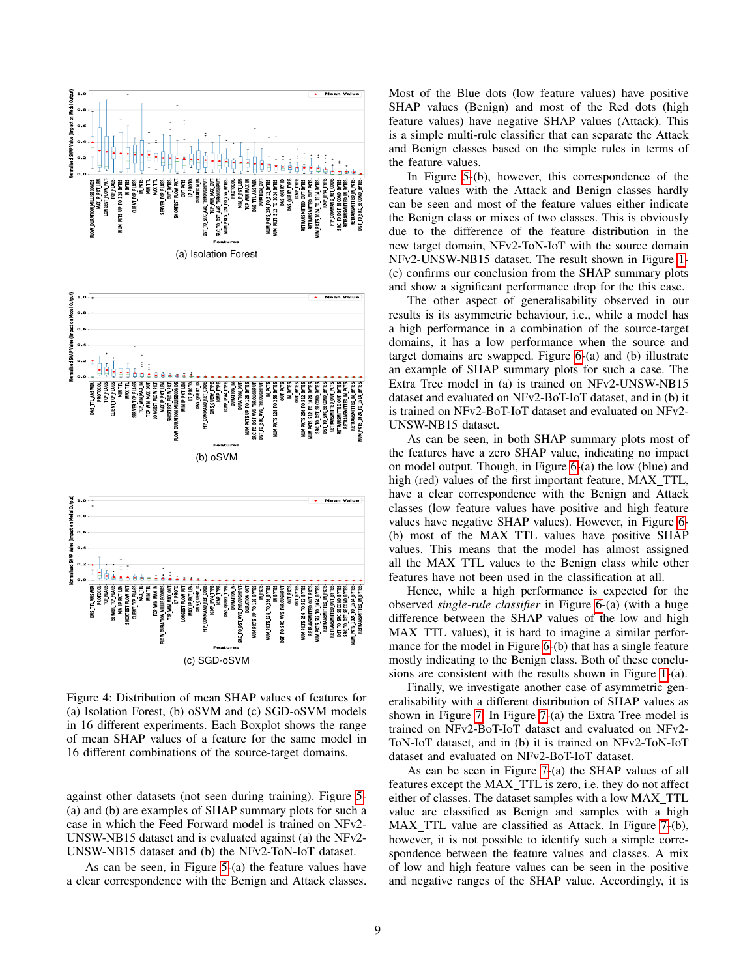<span id="page-8-0"></span>

Figure 4: Distribution of mean SHAP values of features for (a) Isolation Forest, (b) oSVM and (c) SGD-oSVM models in 16 different experiments. Each Boxplot shows the range of mean SHAP values of a feature for the same model in 16 different combinations of the source-target domains.

against other datasets (not seen during training). Figure [5-](#page-9-0) (a) and (b) are examples of SHAP summary plots for such a case in which the Feed Forward model is trained on NFv2- UNSW-NB15 dataset and is evaluated against (a) the NFv2- UNSW-NB15 dataset and (b) the NFv2-ToN-IoT dataset.

As can be seen, in Figure [5-](#page-9-0)(a) the feature values have a clear correspondence with the Benign and Attack classes. Most of the Blue dots (low feature values) have positive SHAP values (Benign) and most of the Red dots (high feature values) have negative SHAP values (Attack). This is a simple multi-rule classifier that can separate the Attack and Benign classes based on the simple rules in terms of the feature values.

In Figure [5-](#page-9-0)(b), however, this correspondence of the feature values with the Attack and Benign classes hardly can be seen and most of the feature values either indicate the Benign class or mixes of two classes. This is obviously due to the difference of the feature distribution in the new target domain, NFv2-ToN-IoT with the source domain NFv2-UNSW-NB15 dataset. The result shown in Figure [1-](#page-4-1) (c) confirms our conclusion from the SHAP summary plots and show a significant performance drop for the this case.

The other aspect of generalisability observed in our results is its asymmetric behaviour, i.e., while a model has a high performance in a combination of the source-target domains, it has a low performance when the source and target domains are swapped. Figure [6-](#page-9-1)(a) and (b) illustrate an example of SHAP summary plots for such a case. The Extra Tree model in (a) is trained on NFv2-UNSW-NB15 dataset and evaluated on NFv2-BoT-IoT dataset, and in (b) it is trained on NFv2-BoT-IoT dataset and evaluated on NFv2- UNSW-NB15 dataset.

As can be seen, in both SHAP summary plots most of the features have a zero SHAP value, indicating no impact on model output. Though, in Figure [6-](#page-9-1)(a) the low (blue) and high (red) values of the first important feature, MAX\_TTL, have a clear correspondence with the Benign and Attack classes (low feature values have positive and high feature values have negative SHAP values). However, in Figure [6-](#page-9-1) (b) most of the MAX TTL values have positive SHAP values. This means that the model has almost assigned all the MAX TTL values to the Benign class while other features have not been used in the classification at all.

Hence, while a high performance is expected for the observed *single-rule classifier* in Figure [6-](#page-9-1)(a) (with a huge difference between the SHAP values of the low and high MAX TTL values), it is hard to imagine a similar performance for the model in Figure [6-](#page-9-1)(b) that has a single feature mostly indicating to the Benign class. Both of these conclusions are consistent with the results shown in Figure [1-](#page-4-1)(a).

Finally, we investigate another case of asymmetric generalisability with a different distribution of SHAP values as shown in Figure [7.](#page-10-17) In Figure [7-](#page-10-17)(a) the Extra Tree model is trained on NFv2-BoT-IoT dataset and evaluated on NFv2- ToN-IoT dataset, and in (b) it is trained on NFv2-ToN-IoT dataset and evaluated on NFv2-BoT-IoT dataset.

As can be seen in Figure [7-](#page-10-17)(a) the SHAP values of all features except the MAX TTL is zero, i.e. they do not affect either of classes. The dataset samples with a low MAX TTL value are classified as Benign and samples with a high MAX TTL value are classified as Attack. In Figure [7-](#page-10-17)(b), however, it is not possible to identify such a simple correspondence between the feature values and classes. A mix of low and high feature values can be seen in the positive and negative ranges of the SHAP value. Accordingly, it is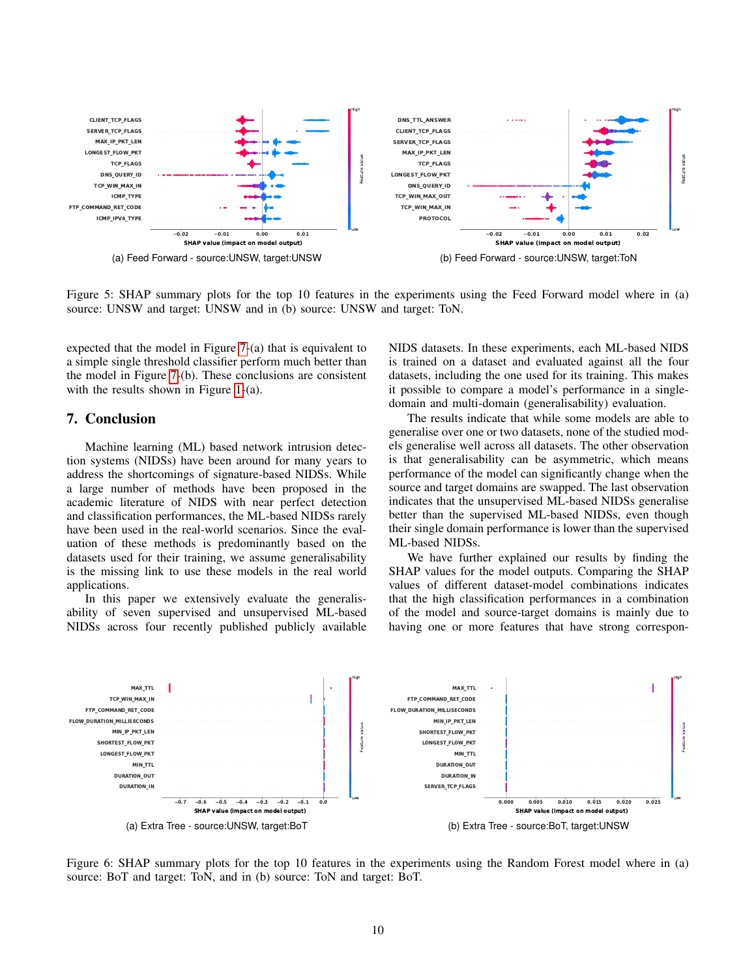<span id="page-9-0"></span>

Figure 5: SHAP summary plots for the top 10 features in the experiments using the Feed Forward model where in (a) source: UNSW and target: UNSW and in (b) source: UNSW and target: ToN.

expected that the model in Figure [7-](#page-10-17)(a) that is equivalent to a simple single threshold classifier perform much better than the model in Figure [7-](#page-10-17)(b). These conclusions are consistent with the results shown in Figure [1-](#page-4-1)(a).

#### 7. Conclusion

Machine learning (ML) based network intrusion detection systems (NIDSs) have been around for many years to address the shortcomings of signature-based NIDSs. While a large number of methods have been proposed in the academic literature of NIDS with near perfect detection and classification performances, the ML-based NIDSs rarely have been used in the real-world scenarios. Since the evaluation of these methods is predominantly based on the datasets used for their training, we assume generalisability is the missing link to use these models in the real world applications.

In this paper we extensively evaluate the generalisability of seven supervised and unsupervised ML-based NIDSs across four recently published publicly available NIDS datasets. In these experiments, each ML-based NIDS is trained on a dataset and evaluated against all the four datasets, including the one used for its training. This makes it possible to compare a model's performance in a singledomain and multi-domain (generalisability) evaluation.

The results indicate that while some models are able to generalise over one or two datasets, none of the studied models generalise well across all datasets. The other observation is that generalisability can be asymmetric, which means performance of the model can significantly change when the source and target domains are swapped. The last observation indicates that the unsupervised ML-based NIDSs generalise better than the supervised ML-based NIDSs, even though their single domain performance is lower than the supervised ML-based NIDSs.

We have further explained our results by finding the SHAP values for the model outputs. Comparing the SHAP values of different dataset-model combinations indicates that the high classification performances in a combination of the model and source-target domains is mainly due to having one or more features that have strong correspon-

<span id="page-9-1"></span>

Figure 6: SHAP summary plots for the top 10 features in the experiments using the Random Forest model where in (a) source: BoT and target: ToN, and in (b) source: ToN and target: BoT.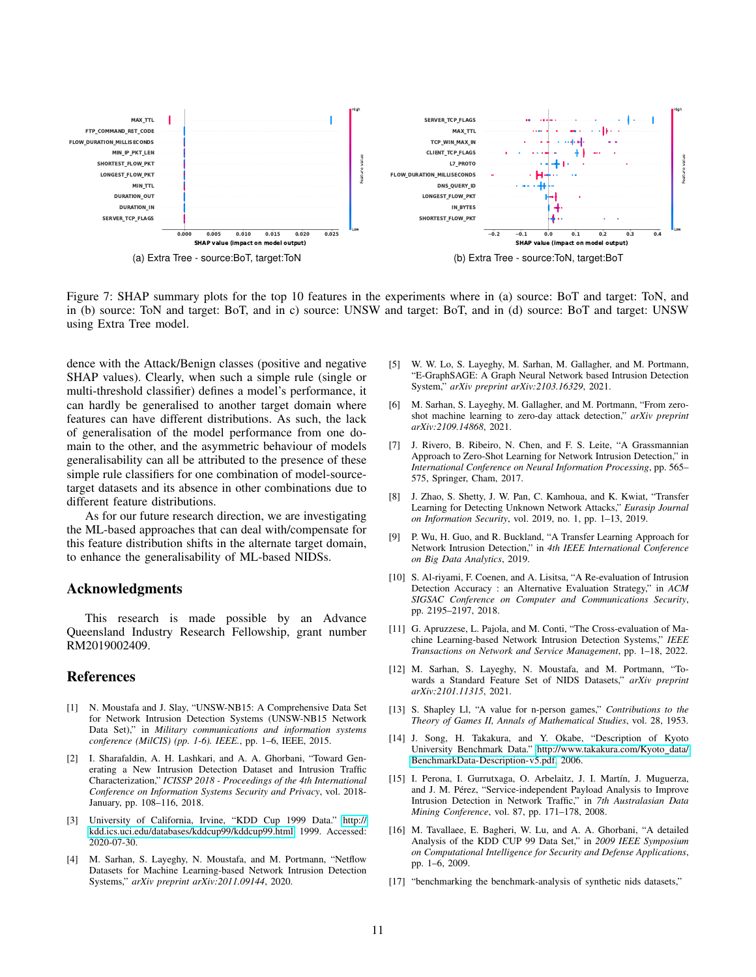<span id="page-10-17"></span>

Figure 7: SHAP summary plots for the top 10 features in the experiments where in (a) source: BoT and target: ToN, and in (b) source: ToN and target: BoT, and in c) source: UNSW and target: BoT, and in (d) source: BoT and target: UNSW using Extra Tree model.

dence with the Attack/Benign classes (positive and negative SHAP values). Clearly, when such a simple rule (single or multi-threshold classifier) defines a model's performance, it can hardly be generalised to another target domain where features can have different distributions. As such, the lack of generalisation of the model performance from one domain to the other, and the asymmetric behaviour of models generalisability can all be attributed to the presence of these simple rule classifiers for one combination of model-sourcetarget datasets and its absence in other combinations due to different feature distributions.

As for our future research direction, we are investigating the ML-based approaches that can deal with/compensate for this feature distribution shifts in the alternate target domain, to enhance the generalisability of ML-based NIDSs.

#### Acknowledgments

This research is made possible by an Advance Queensland Industry Research Fellowship, grant number RM2019002409.

## References

- <span id="page-10-0"></span>[1] N. Moustafa and J. Slay, "UNSW-NB15: A Comprehensive Data Set for Network Intrusion Detection Systems (UNSW-NB15 Network Data Set)," in *Military communications and information systems conference (MilCIS) (pp. 1-6). IEEE.*, pp. 1–6, IEEE, 2015.
- <span id="page-10-1"></span>[2] I. Sharafaldin, A. H. Lashkari, and A. A. Ghorbani, "Toward Generating a New Intrusion Detection Dataset and Intrusion Traffic Characterization," *ICISSP 2018 - Proceedings of the 4th International Conference on Information Systems Security and Privacy*, vol. 2018- January, pp. 108–116, 2018.
- <span id="page-10-2"></span>[3] University of California, Irvine, "KDD Cup 1999 Data." [http://](http://kdd.ics.uci.edu/databases/kddcup99/kddcup99.html) [kdd.ics.uci.edu/databases/kddcup99/kddcup99.html,](http://kdd.ics.uci.edu/databases/kddcup99/kddcup99.html) 1999. Accessed: 2020-07-30.
- <span id="page-10-3"></span>[4] M. Sarhan, S. Layeghy, N. Moustafa, and M. Portmann, "Netflow Datasets for Machine Learning-based Network Intrusion Detection Systems," *arXiv preprint arXiv:2011.09144*, 2020.
- <span id="page-10-4"></span>[5] W. W. Lo, S. Layeghy, M. Sarhan, M. Gallagher, and M. Portmann, "E-GraphSAGE: A Graph Neural Network based Intrusion Detection System," *arXiv preprint arXiv:2103.16329*, 2021.
- <span id="page-10-5"></span>[6] M. Sarhan, S. Layeghy, M. Gallagher, and M. Portmann, "From zeroshot machine learning to zero-day attack detection," *arXiv preprint arXiv:2109.14868*, 2021.
- <span id="page-10-6"></span>[7] J. Rivero, B. Ribeiro, N. Chen, and F. S. Leite, "A Grassmannian Approach to Zero-Shot Learning for Network Intrusion Detection," in *International Conference on Neural Information Processing*, pp. 565– 575, Springer, Cham, 2017.
- <span id="page-10-7"></span>[8] J. Zhao, S. Shetty, J. W. Pan, C. Kamhoua, and K. Kwiat, "Transfer Learning for Detecting Unknown Network Attacks," *Eurasip Journal on Information Security*, vol. 2019, no. 1, pp. 1–13, 2019.
- <span id="page-10-8"></span>[9] P. Wu, H. Guo, and R. Buckland, "A Transfer Learning Approach for Network Intrusion Detection," in *4th IEEE International Conference on Big Data Analytics*, 2019.
- <span id="page-10-9"></span>[10] S. Al-riyami, F. Coenen, and A. Lisitsa, "A Re-evaluation of Intrusion Detection Accuracy : an Alternative Evaluation Strategy," in *ACM SIGSAC Conference on Computer and Communications Security*, pp. 2195–2197, 2018.
- <span id="page-10-10"></span>[11] G. Apruzzese, L. Pajola, and M. Conti, "The Cross-evaluation of Machine Learning-based Network Intrusion Detection Systems," *IEEE Transactions on Network and Service Management*, pp. 1–18, 2022.
- <span id="page-10-11"></span>[12] M. Sarhan, S. Layeghy, N. Moustafa, and M. Portmann, "Towards a Standard Feature Set of NIDS Datasets," *arXiv preprint arXiv:2101.11315*, 2021.
- <span id="page-10-12"></span>[13] S. Shapley Ll, "A value for n-person games," *Contributions to the Theory of Games II, Annals of Mathematical Studies*, vol. 28, 1953.
- <span id="page-10-13"></span>[14] J. Song, H. Takakura, and Y. Okabe, "Description of Kyoto University Benchmark Data." [http://www.takakura.com/Kyoto](http://www.takakura.com/Kyoto_data/BenchmarkData-Description-v5.pdf)\_data/ [BenchmarkData-Description-v5.pdf,](http://www.takakura.com/Kyoto_data/BenchmarkData-Description-v5.pdf) 2006.
- <span id="page-10-14"></span>[15] I. Perona, I. Gurrutxaga, O. Arbelaitz, J. I. Martín, J. Muguerza, and J. M. Pérez, "Service-independent Payload Analysis to Improve Intrusion Detection in Network Traffic," in *7th Australasian Data Mining Conference*, vol. 87, pp. 171–178, 2008.
- <span id="page-10-15"></span>[16] M. Tavallaee, E. Bagheri, W. Lu, and A. A. Ghorbani, "A detailed Analysis of the KDD CUP 99 Data Set," in *2009 IEEE Symposium on Computational Intelligence for Security and Defense Applications*, pp. 1–6, 2009.
- <span id="page-10-16"></span>[17] "benchmarking the benchmark-analysis of synthetic nids datasets,"